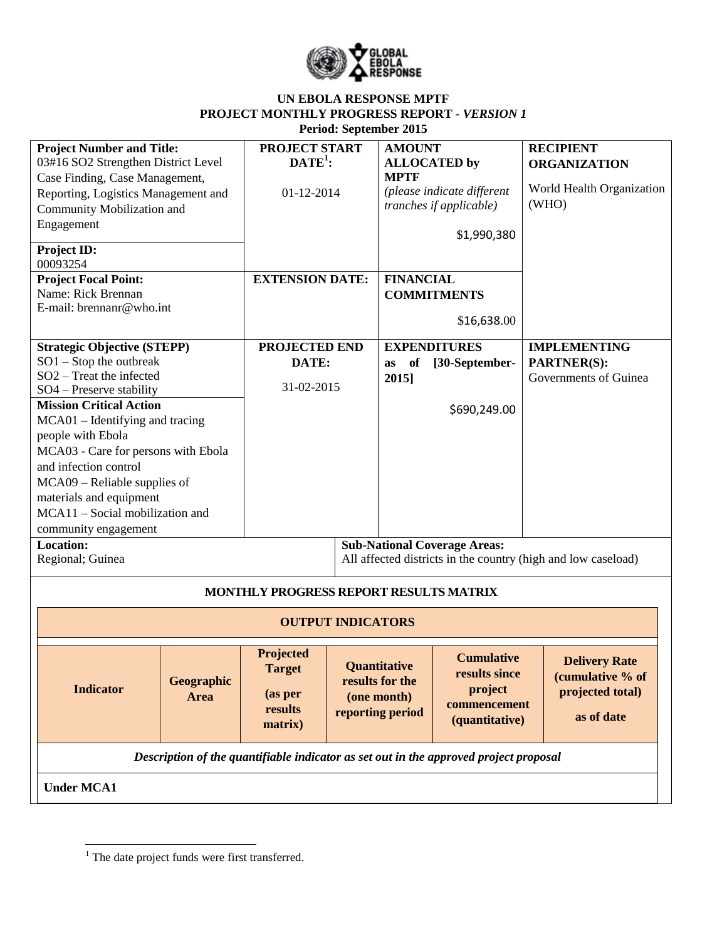

## **UN EBOLA RESPONSE MPTF PROJECT MONTHLY PROGRESS REPORT** *- VERSION 1* **Period: September 2015**

| <b>Project Number and Title:</b><br>03#16 SO2 Strengthen District Level<br>Case Finding, Case Management,<br>Reporting, Logistics Management and<br>Community Mobilization and<br>Engagement<br><b>Project ID:</b><br>00093254                                                                                                                                                                                        | PROJECT START<br>$\text{DATE}^1$ :<br>01-12-2014                   |                 | <b>AMOUNT</b><br><b>ALLOCATED by</b><br><b>MPTF</b>    | (please indicate different<br><i>tranches if applicable)</i><br>\$1,990,380     | <b>RECIPIENT</b><br><b>ORGANIZATION</b><br>World Health Organization<br>(WHO) |
|-----------------------------------------------------------------------------------------------------------------------------------------------------------------------------------------------------------------------------------------------------------------------------------------------------------------------------------------------------------------------------------------------------------------------|--------------------------------------------------------------------|-----------------|--------------------------------------------------------|---------------------------------------------------------------------------------|-------------------------------------------------------------------------------|
| <b>Project Focal Point:</b><br>Name: Rick Brennan<br>E-mail: brennanr@who.int                                                                                                                                                                                                                                                                                                                                         | <b>EXTENSION DATE:</b>                                             |                 | <b>FINANCIAL</b>                                       | <b>COMMITMENTS</b><br>\$16,638.00                                               |                                                                               |
| <b>Strategic Objective (STEPP)</b><br>$SO1 - Stop$ the outbreak<br>SO <sub>2</sub> – Treat the infected<br>SO4 - Preserve stability<br><b>Mission Critical Action</b><br>MCA01 - Identifying and tracing<br>people with Ebola<br>MCA03 - Care for persons with Ebola<br>and infection control<br>$MCA09 - Reliable$ supplies of<br>materials and equipment<br>MCA11 - Social mobilization and<br>community engagement | PROJECTED END<br>DATE:<br>31-02-2015                               |                 | <b>EXPENDITURES</b><br>of<br>as<br>2015]               | [30-September-<br>\$690,249.00                                                  | <b>IMPLEMENTING</b><br><b>PARTNER(S):</b><br>Governments of Guinea            |
| <b>Location:</b><br>Regional; Guinea                                                                                                                                                                                                                                                                                                                                                                                  |                                                                    |                 |                                                        | <b>Sub-National Coverage Areas:</b>                                             | All affected districts in the country (high and low caseload)                 |
| MONTHLY PROGRESS REPORT RESULTS MATRIX<br><b>OUTPUT INDICATORS</b>                                                                                                                                                                                                                                                                                                                                                    |                                                                    |                 |                                                        |                                                                                 |                                                                               |
| Geographic<br><b>Indicator</b><br><b>Area</b>                                                                                                                                                                                                                                                                                                                                                                         | <b>Projected</b><br><b>Target</b><br>(as per<br>results<br>matrix) | results for the | <b>Ouantitative</b><br>(one month)<br>reporting period | <b>Cumulative</b><br>results since<br>project<br>commencement<br>(quantitative) | <b>Delivery Rate</b><br>(cumulative % of<br>projected total)<br>as of date    |
| Description of the quantifiable indicator as set out in the approved project proposal<br><b>Under MCA1</b>                                                                                                                                                                                                                                                                                                            |                                                                    |                 |                                                        |                                                                                 |                                                                               |

 $<sup>1</sup>$  The date project funds were first transferred.</sup>

 $\overline{\phantom{a}}$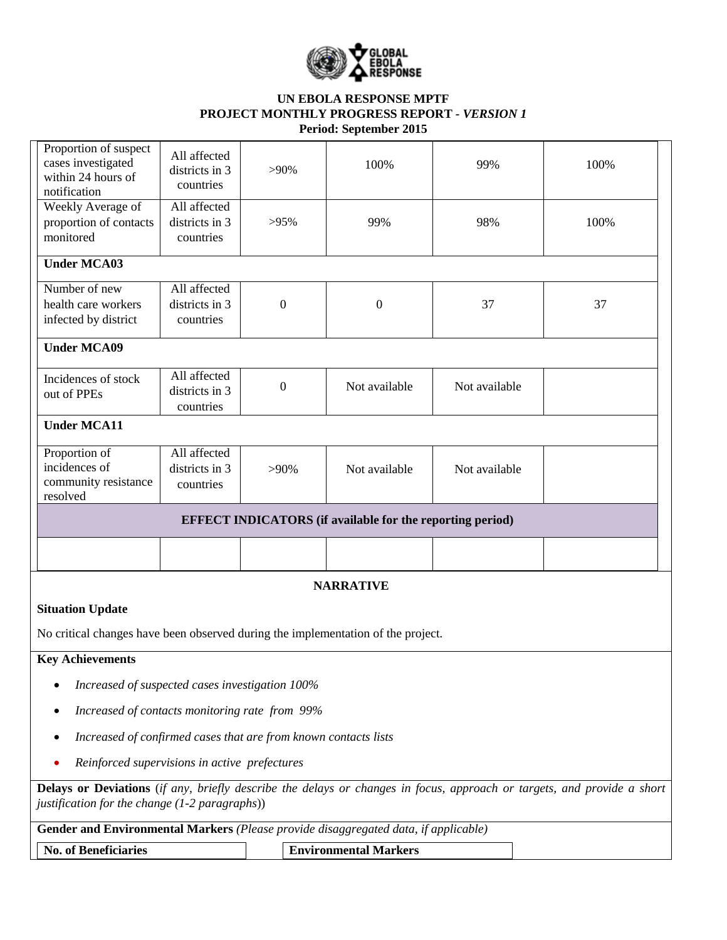

## **UN EBOLA RESPONSE MPTF PROJECT MONTHLY PROGRESS REPORT** *- VERSION 1* **Period: September 2015**

| Proportion of suspect<br>cases investigated<br>within 24 hours of<br>notification                                                                                           | All affected<br>districts in 3<br>countries | $>90\%$          | 100%             | 99%           | 100% |  |  |  |  |
|-----------------------------------------------------------------------------------------------------------------------------------------------------------------------------|---------------------------------------------|------------------|------------------|---------------|------|--|--|--|--|
| Weekly Average of<br>proportion of contacts<br>monitored                                                                                                                    | All affected<br>districts in 3<br>countries | $>95\%$          | 99%              | 98%           | 100% |  |  |  |  |
| <b>Under MCA03</b>                                                                                                                                                          |                                             |                  |                  |               |      |  |  |  |  |
| Number of new<br>health care workers<br>infected by district                                                                                                                | All affected<br>districts in 3<br>countries | $\boldsymbol{0}$ | $\boldsymbol{0}$ | 37            | 37   |  |  |  |  |
| <b>Under MCA09</b>                                                                                                                                                          |                                             |                  |                  |               |      |  |  |  |  |
| Incidences of stock<br>out of PPEs                                                                                                                                          | All affected<br>districts in 3<br>countries | $\boldsymbol{0}$ | Not available    | Not available |      |  |  |  |  |
| <b>Under MCA11</b>                                                                                                                                                          |                                             |                  |                  |               |      |  |  |  |  |
| Proportion of<br>incidences of<br>community resistance<br>resolved                                                                                                          | All affected<br>districts in 3<br>countries | $>90\%$          | Not available    | Not available |      |  |  |  |  |
| <b>EFFECT INDICATORS</b> (if available for the reporting period)                                                                                                            |                                             |                  |                  |               |      |  |  |  |  |
|                                                                                                                                                                             |                                             |                  |                  |               |      |  |  |  |  |
|                                                                                                                                                                             |                                             |                  | <b>NARRATIVE</b> |               |      |  |  |  |  |
| <b>Situation Update</b>                                                                                                                                                     |                                             |                  |                  |               |      |  |  |  |  |
| No critical changes have been observed during the implementation of the project.                                                                                            |                                             |                  |                  |               |      |  |  |  |  |
| <b>Key Achievements</b>                                                                                                                                                     |                                             |                  |                  |               |      |  |  |  |  |
| Increased of suspected cases investigation 100%                                                                                                                             |                                             |                  |                  |               |      |  |  |  |  |
| Increased of contacts monitoring rate from 99%<br>$\bullet$                                                                                                                 |                                             |                  |                  |               |      |  |  |  |  |
| Increased of confirmed cases that are from known contacts lists<br>$\bullet$                                                                                                |                                             |                  |                  |               |      |  |  |  |  |
| Reinforced supervisions in active prefectures<br>$\bullet$                                                                                                                  |                                             |                  |                  |               |      |  |  |  |  |
| Delays or Deviations (if any, briefly describe the delays or changes in focus, approach or targets, and provide a short<br>justification for the change $(1-2$ paragraphs)) |                                             |                  |                  |               |      |  |  |  |  |
| Gender and Environmental Markers (Please provide disaggregated data, if applicable)                                                                                         |                                             |                  |                  |               |      |  |  |  |  |
| <b>No. of Beneficiaries</b><br><b>Environmental Markers</b>                                                                                                                 |                                             |                  |                  |               |      |  |  |  |  |